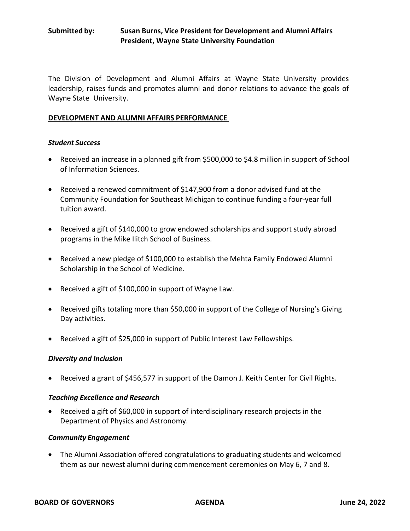# **Submitted by: Susan Burns, Vice President for Development and Alumni Affairs President, Wayne State University Foundation**

The Division of Development and Alumni Affairs at Wayne State University provides leadership, raises funds and promotes alumni and donor relations to advance the goals of Wayne State University.

### **DEVELOPMENT AND ALUMNI AFFAIRS PERFORMANCE**

### *Student Success*

- Received an increase in a planned gift from \$500,000 to \$4.8 million in support of School of Information Sciences.
- Received a renewed commitment of \$147,900 from a donor advised fund at the Community Foundation for Southeast Michigan to continue funding a four-year full tuition award.
- Received a gift of \$140,000 to grow endowed scholarships and support study abroad programs in the Mike Ilitch School of Business.
- Received a new pledge of \$100,000 to establish the Mehta Family Endowed Alumni Scholarship in the School of Medicine.
- Received a gift of \$100,000 in support of Wayne Law.
- Received gifts totaling more than \$50,000 in support of the College of Nursing's Giving Day activities.
- Received a gift of \$25,000 in support of Public Interest Law Fellowships.

## *Diversity and Inclusion*

• Received a grant of \$456,577 in support of the Damon J. Keith Center for Civil Rights.

## *Teaching Excellence and Research*

• Received a gift of \$60,000 in support of interdisciplinary research projects in the Department of Physics and Astronomy.

#### *Community Engagement*

• The Alumni Association offered congratulations to graduating students and welcomed them as our newest alumni during commencement ceremonies on May 6, 7 and 8.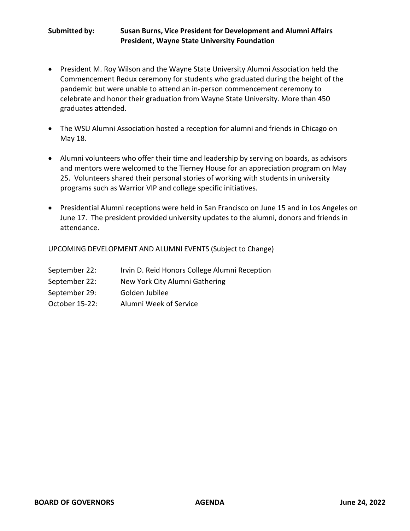# **Submitted by: Susan Burns, Vice President for Development and Alumni Affairs President, Wayne State University Foundation**

- President M. Roy Wilson and the Wayne State University Alumni Association held the Commencement Redux ceremony for students who graduated during the height of the pandemic but were unable to attend an in-person commencement ceremony to celebrate and honor their graduation from Wayne State University. More than 450 graduates attended.
- The WSU Alumni Association hosted a reception for alumni and friends in Chicago on May 18.
- Alumni volunteers who offer their time and leadership by serving on boards, as advisors and mentors were welcomed to the Tierney House for an appreciation program on May 25. Volunteers shared their personal stories of working with students in university programs such as Warrior VIP and college specific initiatives.
- Presidential Alumni receptions were held in San Francisco on June 15 and in Los Angeles on June 17. The president provided university updates to the alumni, donors and friends in attendance.

UPCOMING DEVELOPMENT AND ALUMNI EVENTS (Subject to Change)

| September 22: | Irvin D. Reid Honors College Alumni Reception |  |  |
|---------------|-----------------------------------------------|--|--|
|               |                                               |  |  |

- September 22: New York City Alumni Gathering
- September 29: Golden Jubilee
- October 15-22: Alumni Week of Service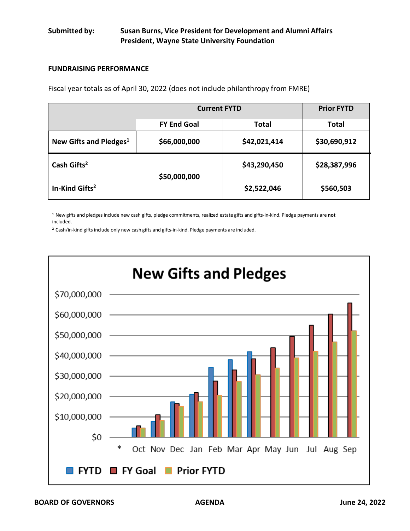# **Submitted by: Susan Burns, Vice President for Development and Alumni Affairs President, Wayne State University Foundation**

### **FUNDRAISING PERFORMANCE**

Fiscal year totals as of April 30, 2022 (does not include philanthropy from FMRE)

|                                    | <b>Current FYTD</b> | <b>Prior FYTD</b> |              |
|------------------------------------|---------------------|-------------------|--------------|
|                                    | <b>FY End Goal</b>  | Total             | <b>Total</b> |
| New Gifts and Pledges <sup>1</sup> | \$66,000,000        | \$42,021,414      | \$30,690,912 |
| Cash Gifts <sup>2</sup>            |                     | \$43,290,450      | \$28,387,996 |
| In-Kind Gifts <sup>2</sup>         | \$50,000,000        | \$2,522,046       | \$560,503    |

**<sup>1</sup>**New gifts and pledges include new cash gifts, pledge commitments, realized estate gifts and gifts-in-kind. Pledge payments are **not** included.

**<sup>2</sup>**Cash/in-kind gifts include only new cash gifts and gifts-in-kind. Pledge payments are included.